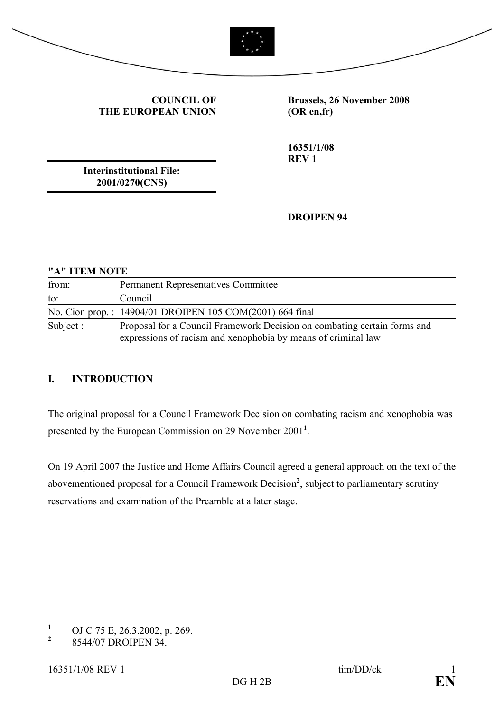

**COUNCIL OF THE EUROPEAN UNION**

**Brussels, 26 November 2008 (OR en,fr)**

**16351/1/08 REV 1**

**Interinstitutional File: 2001/0270(CNS)**

**DROIPEN 94**

| "A" ITEM NOTE |                                                                                                                                           |
|---------------|-------------------------------------------------------------------------------------------------------------------------------------------|
| from:         | <b>Permanent Representatives Committee</b>                                                                                                |
| to:           | Council                                                                                                                                   |
|               | No. Cion prop.: 14904/01 DROIPEN 105 COM(2001) 664 final                                                                                  |
| Subject :     | Proposal for a Council Framework Decision on combating certain forms and<br>expressions of racism and xenophobia by means of criminal law |

## **I. INTRODUCTION**

The original proposal for a Council Framework Decision on combating racism and xenophobia was presented by the European Commission on 29 November 2001**<sup>1</sup>** .

On 19 April 2007 the Justice and Home Affairs Council agreed a general approach on the text of the abovementioned proposal for a Council Framework Decision **2** , subject to parliamentary scrutiny reservations and examination of the Preamble at a later stage.

**<sup>1</sup>** OJ C 75 E, 26.3.2002, p. 269.

**<sup>2</sup>** 8544/07 DROIPEN 34.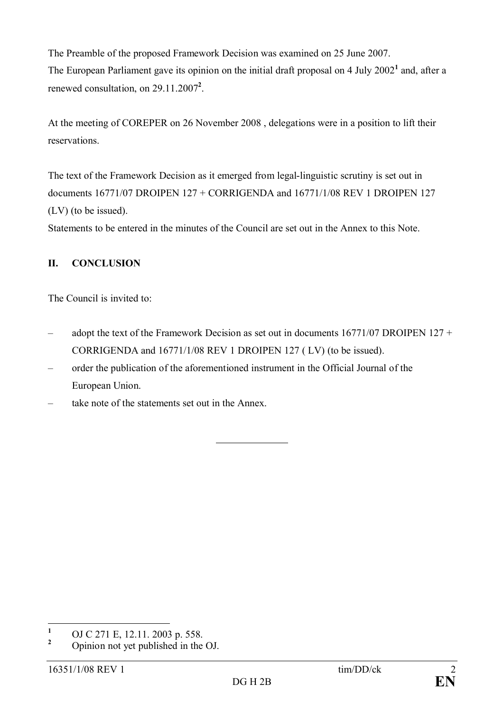The Preamble of the proposed Framework Decision was examined on 25 June 2007. The European Parliament gave its opinion on the initial draft proposal on 4 July 2002<sup>1</sup> and, after a renewed consultation, on 29.11.2007<sup>2</sup>.

At the meeting of COREPER on 26 November 2008 , delegations were in a position to lift their reservations.

The text of the Framework Decision as it emerged from legal-linguistic scrutiny is set out in documents 16771/07 DROIPEN 127 + CORRIGENDA and 16771/1/08 REV 1 DROIPEN 127 (LV) (to be issued).

Statements to be entered in the minutes of the Council are set out in the Annex to this Note.

## **II. CONCLUSION**

The Council is invited to:

- adopt the text of the Framework Decision as set out in documents 16771/07 DROIPEN 127 + CORRIGENDA and 16771/1/08 REV 1 DROIPEN 127 ( LV) (to be issued).
- order the publication of the aforementioned instrument in the Official Journal of the European Union.
- take note of the statements set out in the Annex.

<sup>&</sup>lt;sup>1</sup> OJ C 271 E, 12.11. 2003 p. 558.

**<sup>2</sup>** Opinion not yet published in the OJ.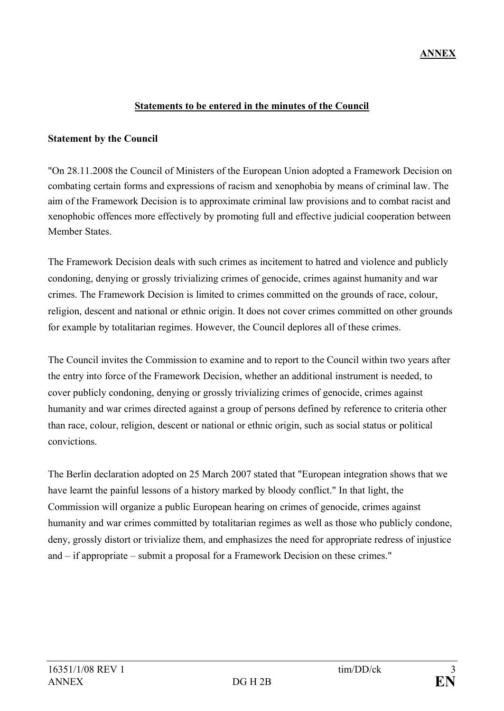## **Statements to be entered in the minutes of the Council**

#### **Statement by the Council**

"On 28.11.2008 the Council of Ministers of the European Union adopted a Framework Decision on combating certain forms and expressions of racism and xenophobia by means of criminal law. The aim of the Framework Decision is to approximate criminal law provisions and to combat racist and xenophobic offences more effectively by promoting full and effective judicial cooperation between Member States.

The Framework Decision deals with such crimes as incitement to hatred and violence and publicly condoning, denying or grossly trivializing crimes of genocide, crimes against humanity and war crimes. The Framework Decision is limited to crimes committed on the grounds of race, colour, religion, descent and national or ethnic origin. It does not cover crimes committed on other grounds for example by totalitarian regimes. However, the Council deplores all of these crimes.

The Council invites the Commission to examine and to report to the Council within two years after the entry into force of the Framework Decision, whether an additional instrument is needed, to cover publicly condoning, denying or grossly trivializing crimes of genocide, crimes against humanity and war crimes directed against a group of persons defined by reference to criteria other than race, colour, religion, descent or national or ethnic origin, such as social status or political convictions.

The Berlin declaration adopted on 25 March 2007 stated that "European integration shows that we have learnt the painful lessons of a history marked by bloody conflict." In that light, the Commission will organize a public European hearing on crimes of genocide, crimes against humanity and war crimes committed by totalitarian regimes as well as those who publicly condone, deny, grossly distort or trivialize them, and emphasizes the need for appropriate redress of injustice and – if appropriate – submit a proposal for a Framework Decision on these crimes."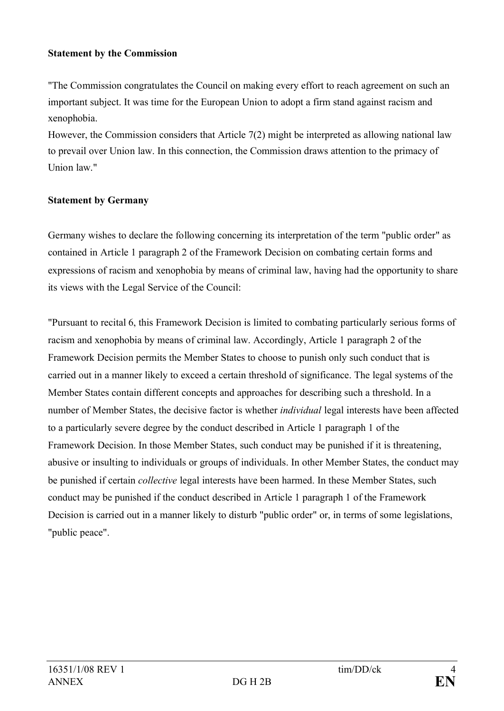#### **Statement by the Commission**

"The Commission congratulates the Council on making every effort to reach agreement on such an important subject. It was time for the European Union to adopt a firm stand against racism and xenophobia.

However, the Commission considers that Article 7(2) might be interpreted as allowing national law to prevail over Union law. In this connection, the Commission draws attention to the primacy of Union law."

### **Statement by Germany**

Germany wishes to declare the following concerning its interpretation of the term "public order" as contained in Article 1 paragraph 2 of the Framework Decision on combating certain forms and expressions of racism and xenophobia by means of criminal law, having had the opportunity to share its views with the Legal Service of the Council:

"Pursuant to recital 6, this Framework Decision is limited to combating particularly serious forms of racism and xenophobia by means of criminal law. Accordingly, Article 1 paragraph 2 of the Framework Decision permits the Member States to choose to punish only such conduct that is carried out in a manner likely to exceed a certain threshold of significance. The legal systems of the Member States contain different concepts and approaches for describing such a threshold. In a number of Member States, the decisive factor is whether *individual* legal interests have been affected to a particularly severe degree by the conduct described in Article 1 paragraph 1 of the Framework Decision. In those Member States, such conduct may be punished if it is threatening, abusive or insulting to individuals or groups of individuals. In other Member States, the conduct may be punished if certain *collective* legal interests have been harmed. In these Member States, such conduct may be punished if the conduct described in Article 1 paragraph 1 of the Framework Decision is carried out in a manner likely to disturb "public order" or, in terms of some legislations, "public peace".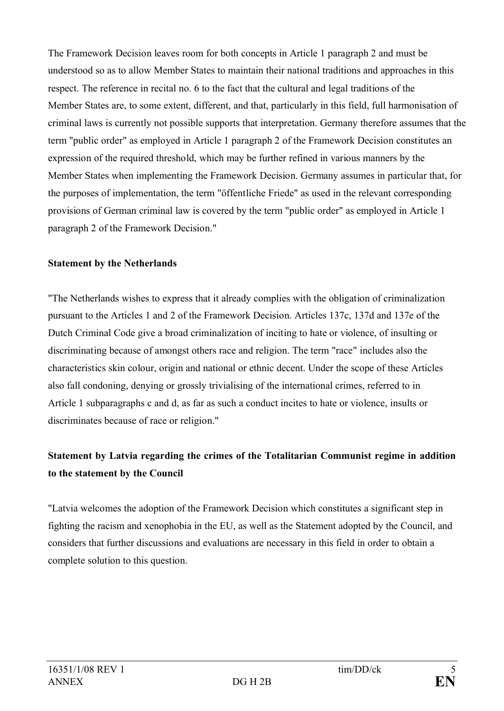The Framework Decision leaves room for both concepts in Article 1 paragraph 2 and must be understood so as to allow Member States to maintain their national traditions and approaches in this respect. The reference in recital no. 6 to the fact that the cultural and legal traditions of the Member States are, to some extent, different, and that, particularly in this field, full harmonisation of criminal laws is currently not possible supports that interpretation. Germany therefore assumes that the term "public order" as employed in Article 1 paragraph 2 of the Framework Decision constitutes an expression of the required threshold, which may be further refined in various manners by the Member States when implementing the Framework Decision. Germany assumes in particular that, for the purposes of implementation, the term "öffentliche Friede" as used in the relevant corresponding provisions of German criminal law is covered by the term "public order" as employed in Article 1 paragraph 2 of the Framework Decision."

#### **Statement by the Netherlands**

"The Netherlands wishes to express that it already complies with the obligation of criminalization pursuant to the Articles 1 and 2 of the Framework Decision. Articles 137c, 137d and 137e of the Dutch Criminal Code give a broad criminalization of inciting to hate or violence, of insulting or discriminating because of amongst others race and religion. The term "race" includes also the characteristics skin colour, origin and national or ethnic decent. Under the scope of these Articles also fall condoning, denying or grossly trivialising of the international crimes, referred to in Article 1 subparagraphs c and d, as far as such a conduct incites to hate or violence, insults or discriminates because of race or religion."

# **Statement by Latvia regarding the crimes of the Totalitarian Communist regime in addition to the statement by the Council**

"Latvia welcomes the adoption of the Framework Decision which constitutes a significant step in fighting the racism and xenophobia in the EU, as well as the Statement adopted by the Council, and considers that further discussions and evaluations are necessary in this field in order to obtain a complete solution to this question.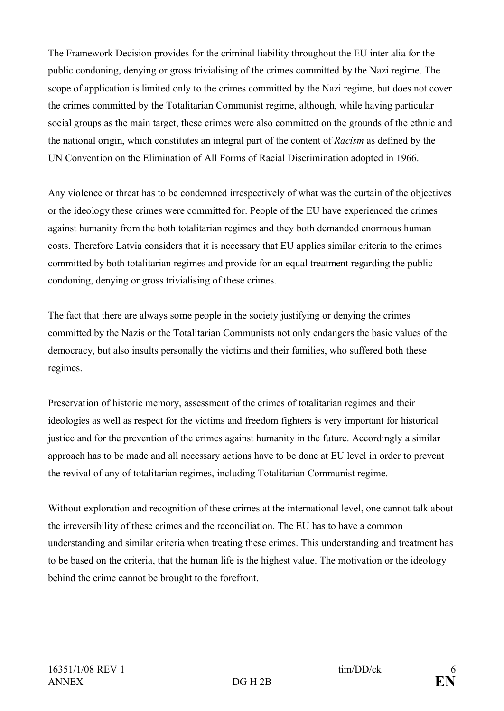The Framework Decision provides for the criminal liability throughout the EU inter alia for the public condoning, denying or gross trivialising of the crimes committed by the Nazi regime. The scope of application is limited only to the crimes committed by the Nazi regime, but does not cover the crimes committed by the Totalitarian Communist regime, although, while having particular social groups as the main target, these crimes were also committed on the grounds of the ethnic and the national origin, which constitutes an integral part of the content of *Racism* as defined by the UN Convention on the Elimination of All Forms of Racial Discrimination adopted in 1966.

Any violence or threat has to be condemned irrespectively of what was the curtain of the objectives or the ideology these crimes were committed for. People of the EU have experienced the crimes against humanity from the both totalitarian regimes and they both demanded enormous human costs. Therefore Latvia considers that it is necessary that EU applies similar criteria to the crimes committed by both totalitarian regimes and provide for an equal treatment regarding the public condoning, denying or gross trivialising of these crimes.

The fact that there are always some people in the society justifying or denying the crimes committed by the Nazis or the Totalitarian Communists not only endangers the basic values of the democracy, but also insults personally the victims and their families, who suffered both these regimes.

Preservation of historic memory, assessment of the crimes of totalitarian regimes and their ideologies as well as respect for the victims and freedom fighters is very important for historical justice and for the prevention of the crimes against humanity in the future. Accordingly a similar approach has to be made and all necessary actions have to be done at EU level in order to prevent the revival of any of totalitarian regimes, including Totalitarian Communist regime.

Without exploration and recognition of these crimes at the international level, one cannot talk about the irreversibility of these crimes and the reconciliation. The EU has to have a common understanding and similar criteria when treating these crimes. This understanding and treatment has to be based on the criteria, that the human life is the highest value. The motivation or the ideology behind the crime cannot be brought to the forefront.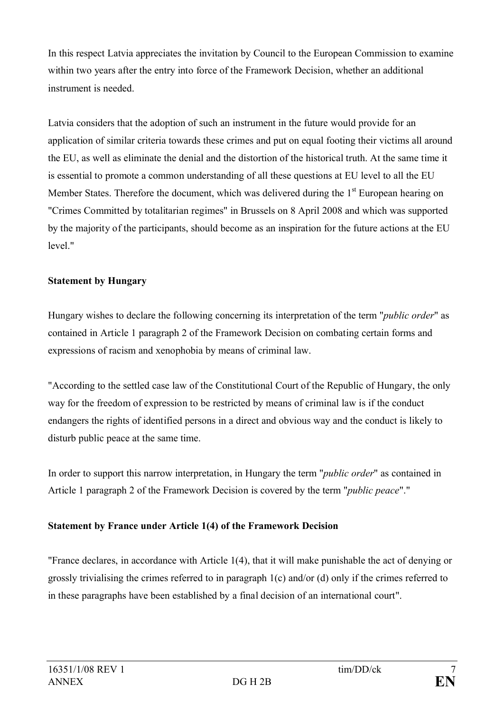In this respect Latvia appreciates the invitation by Council to the European Commission to examine within two years after the entry into force of the Framework Decision, whether an additional instrument is needed.

Latvia considers that the adoption of such an instrument in the future would provide for an application of similar criteria towards these crimes and put on equal footing their victims all around the EU, as well as eliminate the denial and the distortion of the historical truth. At the same time it is essential to promote a common understanding of all these questions at EU level to all the EU Member States. Therefore the document, which was delivered during the  $1<sup>st</sup>$  European hearing on "Crimes Committed by totalitarian regimes" in Brussels on 8 April 2008 and which was supported by the majority of the participants, should become as an inspiration for the future actions at the EU level."

## **Statement by Hungary**

Hungary wishes to declare the following concerning its interpretation of the term "*public order*" as contained in Article 1 paragraph 2 of the Framework Decision on combating certain forms and expressions of racism and xenophobia by means of criminal law.

"According to the settled case law of the Constitutional Court of the Republic of Hungary, the only way for the freedom of expression to be restricted by means of criminal law is if the conduct endangers the rights of identified persons in a direct and obvious way and the conduct is likely to disturb public peace at the same time.

In order to support this narrow interpretation, in Hungary the term "*public order*" as contained in Article 1 paragraph 2 of the Framework Decision is covered by the term "*public peace*"."

## **Statement by France under Article 1(4) of the Framework Decision**

"France declares, in accordance with Article 1(4), that it will make punishable the act of denying or grossly trivialising the crimes referred to in paragraph 1(c) and/or (d) only if the crimes referred to in these paragraphs have been established by a final decision of an international court".